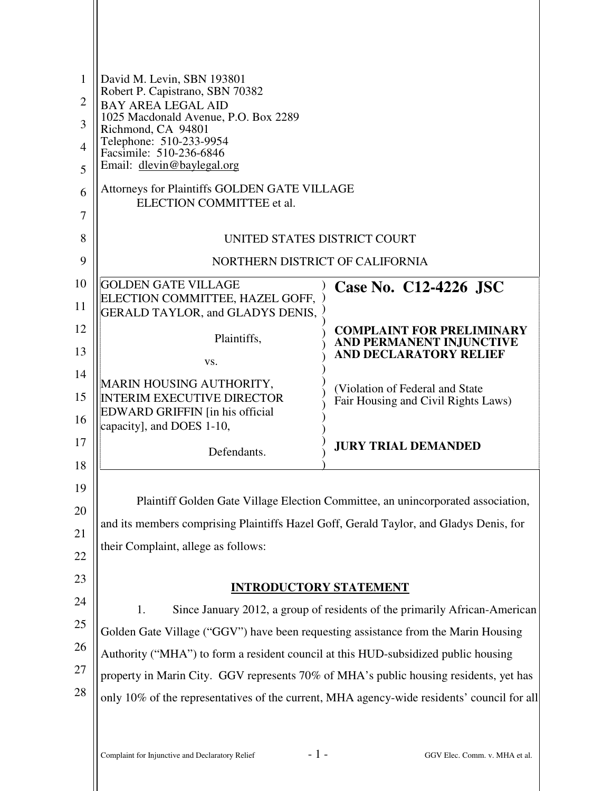| 1        | David M. Levin, SBN 193801                                                                 |                                                                                  |  |
|----------|--------------------------------------------------------------------------------------------|----------------------------------------------------------------------------------|--|
| 2        | Robert P. Capistrano, SBN 70382<br><b>BAY AREA LEGAL AID</b>                               |                                                                                  |  |
| 3        | 1025 Macdonald Avenue, P.O. Box 2289<br>Richmond, CA 94801                                 |                                                                                  |  |
| 4        | Telephone: 510-233-9954<br>Facsimile: 510-236-6846                                         |                                                                                  |  |
| 5        | Email: dlevin@baylegal.org                                                                 |                                                                                  |  |
| 6        | Attorneys for Plaintiffs GOLDEN GATE VILLAGE                                               |                                                                                  |  |
| 7        | ELECTION COMMITTEE et al.                                                                  |                                                                                  |  |
| 8        | UNITED STATES DISTRICT COURT                                                               |                                                                                  |  |
| 9        | NORTHERN DISTRICT OF CALIFORNIA                                                            |                                                                                  |  |
| 10       | <b>GOLDEN GATE VILLAGE</b>                                                                 | Case No. C12-4226 JSC                                                            |  |
| 11       | ELECTION COMMITTEE, HAZEL GOFF,<br>GERALD TAYLOR, and GLADYS DENIS,                        |                                                                                  |  |
| 12       | Plaintiffs,                                                                                | <b>COMPLAINT FOR PRELIMINARY</b>                                                 |  |
| 13       | VS.                                                                                        | AND PERMANENT INJUNCTIVE<br><b>AND DECLARATORY RELIEF</b>                        |  |
| 14       | MARIN HOUSING AUTHORITY,                                                                   |                                                                                  |  |
| 15       | <b>INTERIM EXECUTIVE DIRECTOR</b>                                                          | (Violation of Federal and State)<br>Fair Housing and Civil Rights Laws)          |  |
| 16       | EDWARD GRIFFIN [in his official<br>capacity], and DOES 1-10,                               |                                                                                  |  |
| 17<br>18 | Defendants.                                                                                | <b>JURY TRIAL DEMANDED</b>                                                       |  |
| 19       |                                                                                            |                                                                                  |  |
| 20       |                                                                                            | Plaintiff Golden Gate Village Election Committee, an unincorporated association, |  |
| 21       | and its members comprising Plaintiffs Hazel Goff, Gerald Taylor, and Gladys Denis, for     |                                                                                  |  |
| 22       | their Complaint, allege as follows:                                                        |                                                                                  |  |
| 23       |                                                                                            |                                                                                  |  |
| 24       | <b>INTRODUCTORY STATEMENT</b>                                                              |                                                                                  |  |
| 25       | 1.                                                                                         | Since January 2012, a group of residents of the primarily African-American       |  |
| 26       | Golden Gate Village ("GGV") have been requesting assistance from the Marin Housing         |                                                                                  |  |
| 27       | Authority ("MHA") to form a resident council at this HUD-subsidized public housing         |                                                                                  |  |
|          | property in Marin City. GGV represents 70% of MHA's public housing residents, yet has      |                                                                                  |  |
| 28       | only 10% of the representatives of the current, MHA agency-wide residents' council for all |                                                                                  |  |
|          |                                                                                            |                                                                                  |  |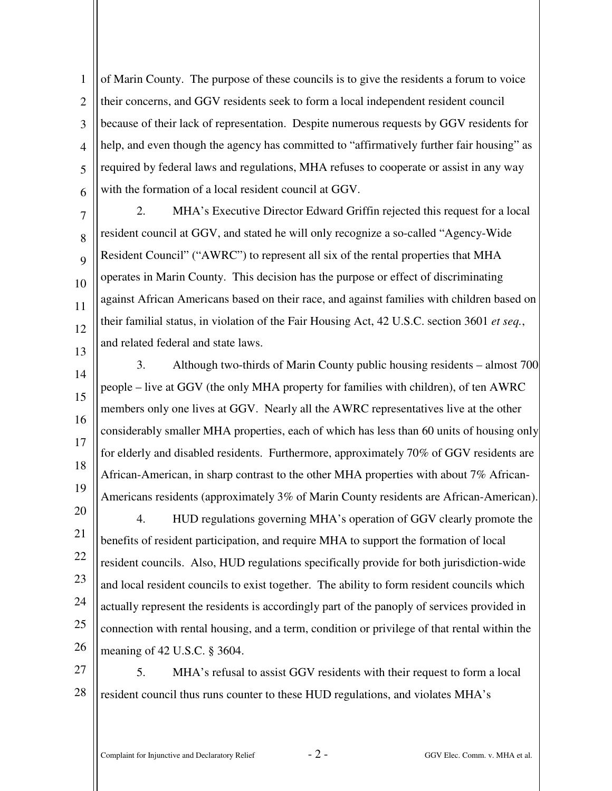1  $\mathcal{L}$ 3 4 5 6 of Marin County. The purpose of these councils is to give the residents a forum to voice their concerns, and GGV residents seek to form a local independent resident council because of their lack of representation. Despite numerous requests by GGV residents for help, and even though the agency has committed to "affirmatively further fair housing" as required by federal laws and regulations, MHA refuses to cooperate or assist in any way with the formation of a local resident council at GGV.

10 12 13 2. MHA's Executive Director Edward Griffin rejected this request for a local resident council at GGV, and stated he will only recognize a so-called "Agency-Wide Resident Council" ("AWRC") to represent all six of the rental properties that MHA operates in Marin County. This decision has the purpose or effect of discriminating against African Americans based on their race, and against families with children based on their familial status, in violation of the Fair Housing Act, 42 U.S.C. section 3601 *et seq.*, and related federal and state laws.

3. Although two-thirds of Marin County public housing residents – almost 700 people – live at GGV (the only MHA property for families with children), of ten AWRC members only one lives at GGV. Nearly all the AWRC representatives live at the other considerably smaller MHA properties, each of which has less than 60 units of housing only for elderly and disabled residents. Furthermore, approximately 70% of GGV residents are African-American, in sharp contrast to the other MHA properties with about 7% African-Americans residents (approximately 3% of Marin County residents are African-American).

20 21 22 23 24 25 26 4. HUD regulations governing MHA's operation of GGV clearly promote the benefits of resident participation, and require MHA to support the formation of local resident councils. Also, HUD regulations specifically provide for both jurisdiction-wide and local resident councils to exist together. The ability to form resident councils which actually represent the residents is accordingly part of the panoply of services provided in connection with rental housing, and a term, condition or privilege of that rental within the meaning of 42 U.S.C. § 3604.

27 28 5. MHA's refusal to assist GGV residents with their request to form a local resident council thus runs counter to these HUD regulations, and violates MHA's

7

8

9

11

14

15

16

17

18

19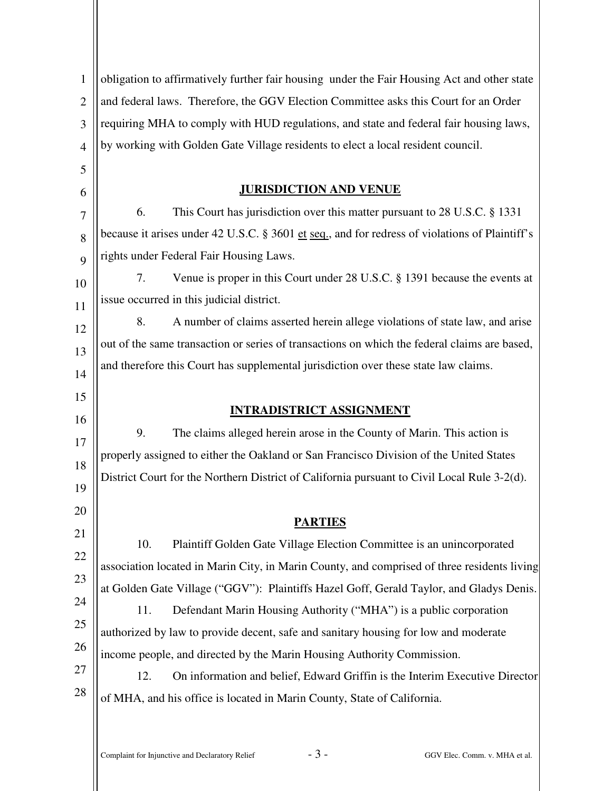| 1              | obligation to affirmatively further fair housing under the Fair Housing Act and other state    |
|----------------|------------------------------------------------------------------------------------------------|
| $\overline{2}$ | and federal laws. Therefore, the GGV Election Committee asks this Court for an Order           |
| 3              | requiring MHA to comply with HUD regulations, and state and federal fair housing laws,         |
| $\overline{4}$ | by working with Golden Gate Village residents to elect a local resident council.               |
| 5              |                                                                                                |
| 6              | <b>JURISDICTION AND VENUE</b>                                                                  |
| 7              | This Court has jurisdiction over this matter pursuant to 28 U.S.C. § 1331<br>6.                |
| 8              | because it arises under 42 U.S.C. § 3601 et seq., and for redress of violations of Plaintiff's |
| 9              | rights under Federal Fair Housing Laws.                                                        |
| 10             | 7.<br>Venue is proper in this Court under 28 U.S.C. § 1391 because the events at               |
| 11             | issue occurred in this judicial district.                                                      |
| 12             | A number of claims asserted herein allege violations of state law, and arise<br>8.             |
| 13             | out of the same transaction or series of transactions on which the federal claims are based,   |
| 14             | and therefore this Court has supplemental jurisdiction over these state law claims.            |
| 15             |                                                                                                |
|                |                                                                                                |
| 16             | <b>INTRADISTRICT ASSIGNMENT</b>                                                                |
| 17             | The claims alleged herein arose in the County of Marin. This action is<br>9.                   |
|                | properly assigned to either the Oakland or San Francisco Division of the United States         |
| 18             | District Court for the Northern District of California pursuant to Civil Local Rule 3-2(d).    |
| 19             |                                                                                                |
| 20             | <b>PARTIES</b>                                                                                 |
| 21             | Plaintiff Golden Gate Village Election Committee is an unincorporated<br>10.                   |
| 22             | association located in Marin City, in Marin County, and comprised of three residents living    |
| 23             | at Golden Gate Village ("GGV"): Plaintiffs Hazel Goff, Gerald Taylor, and Gladys Denis.        |
| 24             | 11.<br>Defendant Marin Housing Authority ("MHA") is a public corporation                       |
| 25             | authorized by law to provide decent, safe and sanitary housing for low and moderate            |
| 26             | income people, and directed by the Marin Housing Authority Commission.                         |
| 27             | On information and belief, Edward Griffin is the Interim Executive Director<br>12.             |
| 28             | of MHA, and his office is located in Marin County, State of California.                        |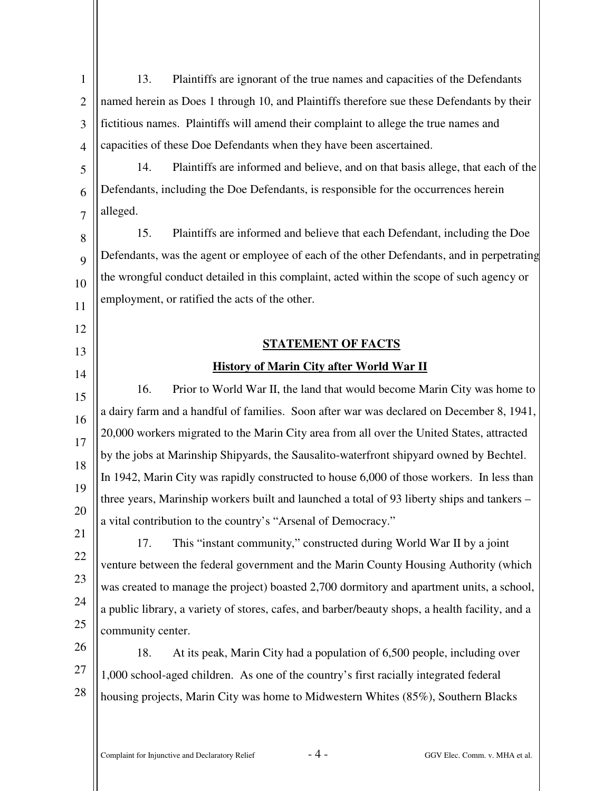| $\mathbf{1}$   | Plaintiffs are ignorant of the true names and capacities of the Defendants<br>13.               |
|----------------|-------------------------------------------------------------------------------------------------|
| $\overline{2}$ | named herein as Does 1 through 10, and Plaintiffs therefore sue these Defendants by their       |
| 3              | fictitious names. Plaintiffs will amend their complaint to allege the true names and            |
| $\overline{4}$ | capacities of these Doe Defendants when they have been ascertained.                             |
| 5              | 14.<br>Plaintiffs are informed and believe, and on that basis allege, that each of the          |
| 6              | Defendants, including the Doe Defendants, is responsible for the occurrences herein             |
| $\overline{7}$ | alleged.                                                                                        |
| 8              | Plaintiffs are informed and believe that each Defendant, including the Doe<br>15.               |
| 9              | Defendants, was the agent or employee of each of the other Defendants, and in perpetrating      |
| 10             | the wrongful conduct detailed in this complaint, acted within the scope of such agency or       |
| 11             | employment, or ratified the acts of the other.                                                  |
| 12             |                                                                                                 |
| 13             | <b>STATEMENT OF FACTS</b>                                                                       |
| 14             | <b>History of Marin City after World War II</b>                                                 |
| 15             | 16.<br>Prior to World War II, the land that would become Marin City was home to                 |
| 16             | a dairy farm and a handful of families. Soon after war was declared on December 8, 1941,        |
| 17             | 20,000 workers migrated to the Marin City area from all over the United States, attracted       |
| 18             | by the jobs at Marinship Shipyards, the Sausalito-waterfront shipyard owned by Bechtel.         |
| 19             | In 1942, Marin City was rapidly constructed to house 6,000 of those workers. In less than       |
| 20             | three years, Marinship workers built and launched a total of 93 liberty ships and tankers –     |
|                | a vital contribution to the country's "Arsenal of Democracy."                                   |
| 21             | This "instant community," constructed during World War II by a joint<br>17.                     |
| 22             | venture between the federal government and the Marin County Housing Authority (which            |
| 23             | was created to manage the project) boasted 2,700 dormitory and apartment units, a school,       |
| 24             | a public library, a variety of stores, cafes, and barber/beauty shops, a health facility, and a |
| 25             | community center.                                                                               |
| 26             | 18.<br>At its peak, Marin City had a population of 6,500 people, including over                 |
| 27             | 1,000 school-aged children. As one of the country's first racially integrated federal           |
| 28             | housing projects, Marin City was home to Midwestern Whites (85%), Southern Blacks               |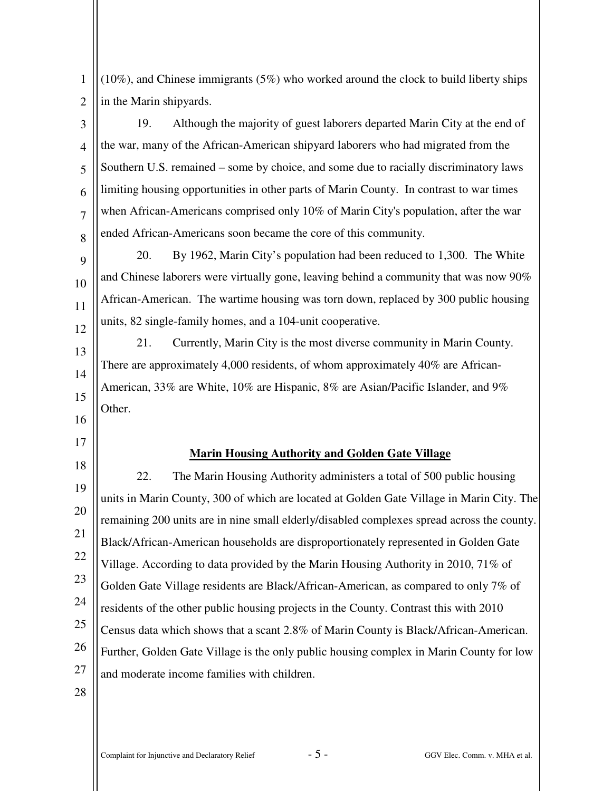1 2 (10%), and Chinese immigrants (5%) who worked around the clock to build liberty ships in the Marin shipyards.

3 4 5 6 7 8 19. Although the majority of guest laborers departed Marin City at the end of the war, many of the African-American shipyard laborers who had migrated from the Southern U.S. remained – some by choice, and some due to racially discriminatory laws limiting housing opportunities in other parts of Marin County. In contrast to war times when African-Americans comprised only 10% of Marin City's population, after the war ended African-Americans soon became the core of this community.

20. By 1962, Marin City's population had been reduced to 1,300. The White and Chinese laborers were virtually gone, leaving behind a community that was now 90% African-American. The wartime housing was torn down, replaced by 300 public housing units, 82 single-family homes, and a 104-unit cooperative.

21. Currently, Marin City is the most diverse community in Marin County. There are approximately 4,000 residents, of whom approximately 40% are African-American, 33% are White, 10% are Hispanic, 8% are Asian/Pacific Islander, and 9% Other.

## **Marin Housing Authority and Golden Gate Village**

18 19 20 21 22 23 24 25 26 27 22. The Marin Housing Authority administers a total of 500 public housing units in Marin County, 300 of which are located at Golden Gate Village in Marin City. The remaining 200 units are in nine small elderly/disabled complexes spread across the county. Black/African-American households are disproportionately represented in Golden Gate Village. According to data provided by the Marin Housing Authority in 2010, 71% of Golden Gate Village residents are Black/African-American, as compared to only 7% of residents of the other public housing projects in the County. Contrast this with 2010 Census data which shows that a scant 2.8% of Marin County is Black/African-American. Further, Golden Gate Village is the only public housing complex in Marin County for low and moderate income families with children.

28

9

10

11

12

13

14

15

16

17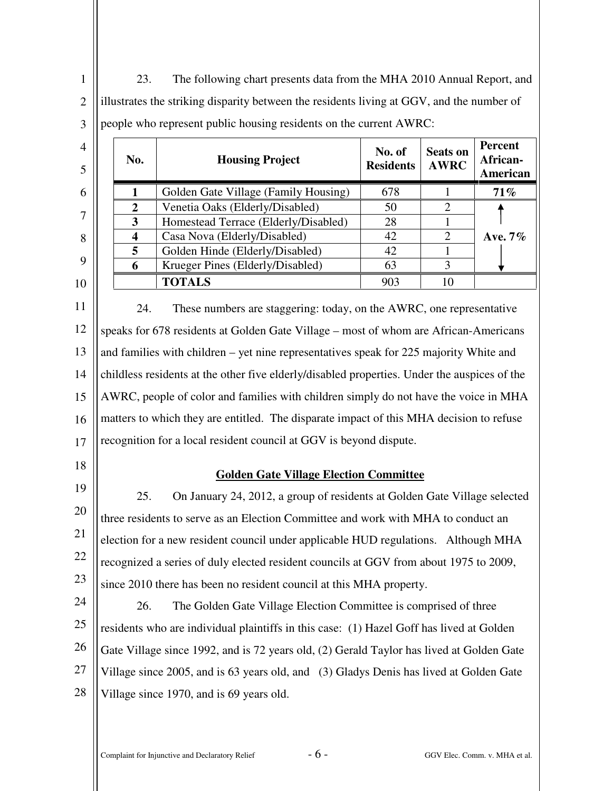1  $\overline{2}$ 3 23. The following chart presents data from the MHA 2010 Annual Report, and illustrates the striking disparity between the residents living at GGV, and the number of people who represent public housing residents on the current AWRC:

| $\overline{4}$ | No.                   | <b>Housing Project</b>               | No. of<br><b>Residents</b> | <b>Seats on</b><br><b>AWRC</b> | Percent<br>African-<br>American |
|----------------|-----------------------|--------------------------------------|----------------------------|--------------------------------|---------------------------------|
| 6              |                       | Golden Gate Village (Family Housing) | 678                        |                                | 71%                             |
| ⇁              | $\mathcal{D}_{\cdot}$ | Venetia Oaks (Elderly/Disabled)      | 50                         | っ                              |                                 |
|                | 3                     | Homestead Terrace (Elderly/Disabled) | 28                         |                                |                                 |
| 8              |                       | Casa Nova (Elderly/Disabled)         | 42                         | 2                              | Ave. $7\%$                      |
|                |                       | Golden Hinde (Elderly/Disabled)      | 42                         |                                |                                 |
| 9              |                       | Krueger Pines (Elderly/Disabled)     | 63                         |                                |                                 |
| 10             |                       | <b>TOTALS</b>                        | 903                        | 10                             |                                 |

11 12 13 14 15 16 17 24. These numbers are staggering: today, on the AWRC, one representative speaks for 678 residents at Golden Gate Village – most of whom are African-Americans and families with children – yet nine representatives speak for 225 majority White and childless residents at the other five elderly/disabled properties. Under the auspices of the AWRC, people of color and families with children simply do not have the voice in MHA matters to which they are entitled. The disparate impact of this MHA decision to refuse recognition for a local resident council at GGV is beyond dispute.

18

## **Golden Gate Village Election Committee**

19 20 21 22 23 25. On January 24, 2012, a group of residents at Golden Gate Village selected three residents to serve as an Election Committee and work with MHA to conduct an election for a new resident council under applicable HUD regulations. Although MHA recognized a series of duly elected resident councils at GGV from about 1975 to 2009, since 2010 there has been no resident council at this MHA property.

24 25 26 27 28 26. The Golden Gate Village Election Committee is comprised of three residents who are individual plaintiffs in this case: (1) Hazel Goff has lived at Golden Gate Village since 1992, and is 72 years old, (2) Gerald Taylor has lived at Golden Gate Village since 2005, and is 63 years old, and (3) Gladys Denis has lived at Golden Gate Village since 1970, and is 69 years old.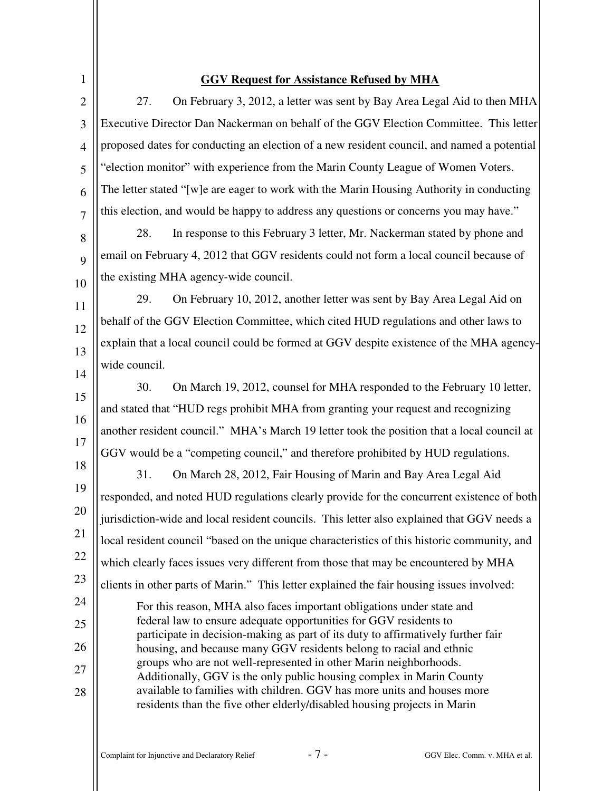## **GGV Request for Assistance Refused by MHA**

27. On February 3, 2012, a letter was sent by Bay Area Legal Aid to then MHA Executive Director Dan Nackerman on behalf of the GGV Election Committee. This letter proposed dates for conducting an election of a new resident council, and named a potential "election monitor" with experience from the Marin County League of Women Voters. The letter stated "[w]e are eager to work with the Marin Housing Authority in conducting this election, and would be happy to address any questions or concerns you may have."

28. In response to this February 3 letter, Mr. Nackerman stated by phone and email on February 4, 2012 that GGV residents could not form a local council because of the existing MHA agency-wide council.

29. On February 10, 2012, another letter was sent by Bay Area Legal Aid on behalf of the GGV Election Committee, which cited HUD regulations and other laws to explain that a local council could be formed at GGV despite existence of the MHA agencywide council.

30. On March 19, 2012, counsel for MHA responded to the February 10 letter, and stated that "HUD regs prohibit MHA from granting your request and recognizing another resident council." MHA's March 19 letter took the position that a local council at GGV would be a "competing council," and therefore prohibited by HUD regulations.

18 19 20 21 22 23 24 31. On March 28, 2012, Fair Housing of Marin and Bay Area Legal Aid responded, and noted HUD regulations clearly provide for the concurrent existence of both jurisdiction-wide and local resident councils. This letter also explained that GGV needs a local resident council "based on the unique characteristics of this historic community, and which clearly faces issues very different from those that may be encountered by MHA clients in other parts of Marin." This letter explained the fair housing issues involved: For this reason, MHA also faces important obligations under state and

federal law to ensure adequate opportunities for GGV residents to participate in decision-making as part of its duty to affirmatively further fair housing, and because many GGV residents belong to racial and ethnic groups who are not well-represented in other Marin neighborhoods. Additionally, GGV is the only public housing complex in Marin County available to families with children. GGV has more units and houses more residents than the five other elderly/disabled housing projects in Marin

1

2

3

4

5

6

7

8

9

10

11

12

13

14

15

16

17

25

26

27

28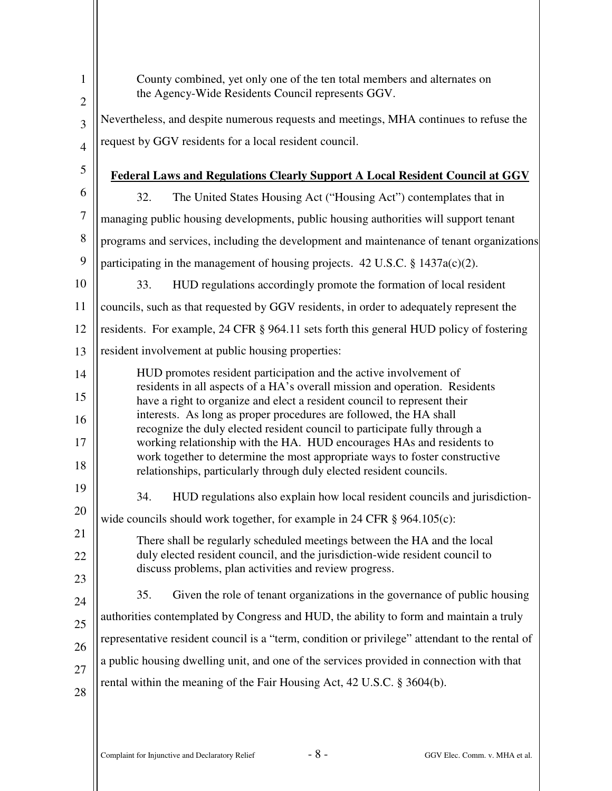| 1                | County combined, yet only one of the ten total members and alternates on<br>the Agency-Wide Residents Council represents GGV.                           |
|------------------|---------------------------------------------------------------------------------------------------------------------------------------------------------|
| $\overline{2}$   |                                                                                                                                                         |
| 3                | Nevertheless, and despite numerous requests and meetings, MHA continues to refuse the                                                                   |
| $\overline{4}$   | request by GGV residents for a local resident council.                                                                                                  |
| 5                | <b>Federal Laws and Regulations Clearly Support A Local Resident Council at GGV</b>                                                                     |
| 6                | 32.<br>The United States Housing Act ("Housing Act") contemplates that in                                                                               |
| $\boldsymbol{7}$ | managing public housing developments, public housing authorities will support tenant                                                                    |
| 8                | programs and services, including the development and maintenance of tenant organizations                                                                |
| 9                | participating in the management of housing projects. $42 \text{ U.S.C.}$ § $1437a(c)(2)$ .                                                              |
| 10               | HUD regulations accordingly promote the formation of local resident<br>33.                                                                              |
| 11               | councils, such as that requested by GGV residents, in order to adequately represent the                                                                 |
| 12               | residents. For example, 24 CFR § 964.11 sets forth this general HUD policy of fostering                                                                 |
| 13               | resident involvement at public housing properties:                                                                                                      |
| 14               | HUD promotes resident participation and the active involvement of                                                                                       |
| 15               | residents in all aspects of a HA's overall mission and operation. Residents<br>have a right to organize and elect a resident council to represent their |
| 16               | interests. As long as proper procedures are followed, the HA shall<br>recognize the duly elected resident council to participate fully through a        |
| 17               | working relationship with the HA. HUD encourages HAs and residents to                                                                                   |
| 18               | work together to determine the most appropriate ways to foster constructive<br>relationships, particularly through duly elected resident councils.      |
| 19               | 34.<br>HUD regulations also explain how local resident councils and jurisdiction-                                                                       |
| $20\,$           | wide councils should work together, for example in 24 CFR § 964.105(c):                                                                                 |
| 21               | There shall be regularly scheduled meetings between the HA and the local                                                                                |
| 22               | duly elected resident council, and the jurisdiction-wide resident council to<br>discuss problems, plan activities and review progress.                  |
| 23               |                                                                                                                                                         |
| 24               | Given the role of tenant organizations in the governance of public housing<br>35.                                                                       |
| 25               | authorities contemplated by Congress and HUD, the ability to form and maintain a truly                                                                  |
| 26               | representative resident council is a "term, condition or privilege" attendant to the rental of                                                          |
| 27               | a public housing dwelling unit, and one of the services provided in connection with that                                                                |
| 28               | rental within the meaning of the Fair Housing Act, 42 U.S.C. § 3604(b).                                                                                 |
|                  |                                                                                                                                                         |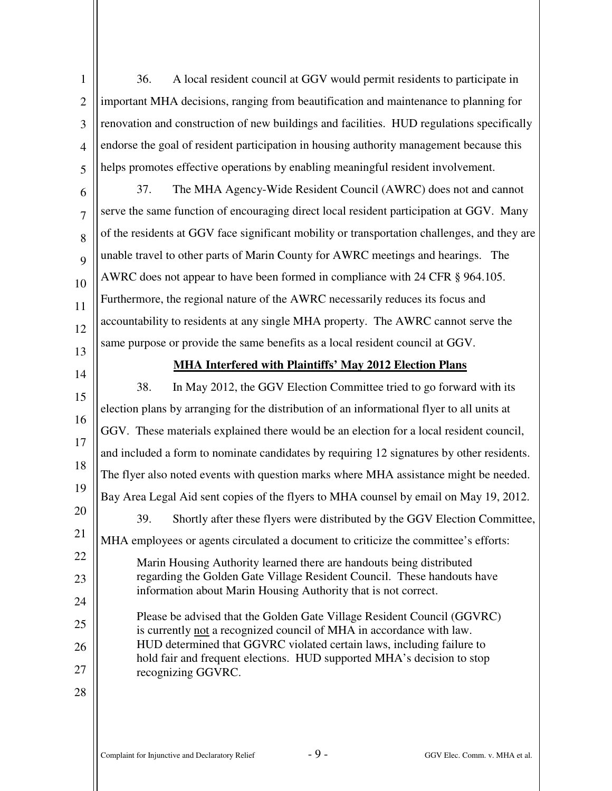3 4 36. A local resident council at GGV would permit residents to participate in important MHA decisions, ranging from beautification and maintenance to planning for renovation and construction of new buildings and facilities. HUD regulations specifically endorse the goal of resident participation in housing authority management because this helps promotes effective operations by enabling meaningful resident involvement.

6 7 8 9 10 11 12 13 37. The MHA Agency-Wide Resident Council (AWRC) does not and cannot serve the same function of encouraging direct local resident participation at GGV. Many of the residents at GGV face significant mobility or transportation challenges, and they are unable travel to other parts of Marin County for AWRC meetings and hearings. The AWRC does not appear to have been formed in compliance with 24 CFR § 964.105. Furthermore, the regional nature of the AWRC necessarily reduces its focus and accountability to residents at any single MHA property. The AWRC cannot serve the same purpose or provide the same benefits as a local resident council at GGV.

14

1

 $\mathcal{D}_{\mathcal{L}}$ 

5

## **MHA Interfered with Plaintiffs' May 2012 Election Plans**

15 16 17 18 19 20 21 22 23 24 25 26 27 28 38. In May 2012, the GGV Election Committee tried to go forward with its election plans by arranging for the distribution of an informational flyer to all units at GGV. These materials explained there would be an election for a local resident council, and included a form to nominate candidates by requiring 12 signatures by other residents. The flyer also noted events with question marks where MHA assistance might be needed. Bay Area Legal Aid sent copies of the flyers to MHA counsel by email on May 19, 2012. 39. Shortly after these flyers were distributed by the GGV Election Committee, MHA employees or agents circulated a document to criticize the committee's efforts: Marin Housing Authority learned there are handouts being distributed regarding the Golden Gate Village Resident Council. These handouts have information about Marin Housing Authority that is not correct. Please be advised that the Golden Gate Village Resident Council (GGVRC) is currently not a recognized council of MHA in accordance with law. HUD determined that GGVRC violated certain laws, including failure to hold fair and frequent elections. HUD supported MHA's decision to stop recognizing GGVRC.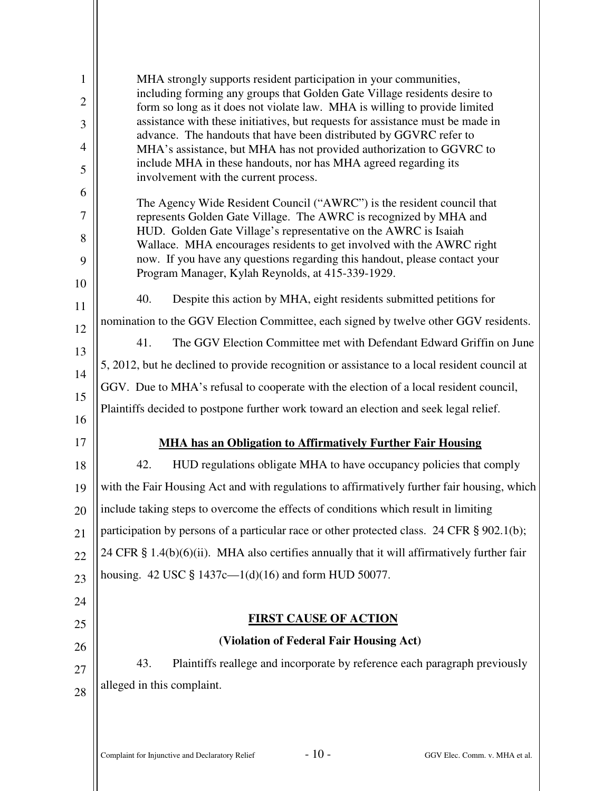| $\mathbf{1}$<br>$\overline{2}$ | MHA strongly supports resident participation in your communities,<br>including forming any groups that Golden Gate Village residents desire to<br>form so long as it does not violate law. MHA is willing to provide limited |
|--------------------------------|------------------------------------------------------------------------------------------------------------------------------------------------------------------------------------------------------------------------------|
| 3                              | assistance with these initiatives, but requests for assistance must be made in                                                                                                                                               |
| 4                              | advance. The handouts that have been distributed by GGVRC refer to<br>MHA's assistance, but MHA has not provided authorization to GGVRC to                                                                                   |
| 5                              | include MHA in these handouts, nor has MHA agreed regarding its<br>involvement with the current process.                                                                                                                     |
| 6                              | The Agency Wide Resident Council ("AWRC") is the resident council that                                                                                                                                                       |
| $\overline{7}$                 | represents Golden Gate Village. The AWRC is recognized by MHA and                                                                                                                                                            |
| 8<br>9                         | HUD. Golden Gate Village's representative on the AWRC is Isaiah<br>Wallace. MHA encourages residents to get involved with the AWRC right<br>now. If you have any questions regarding this handout, please contact your       |
| 10                             | Program Manager, Kylah Reynolds, at 415-339-1929.                                                                                                                                                                            |
| 11                             | 40.<br>Despite this action by MHA, eight residents submitted petitions for                                                                                                                                                   |
| 12                             | nomination to the GGV Election Committee, each signed by twelve other GGV residents.                                                                                                                                         |
| 13                             | 41.<br>The GGV Election Committee met with Defendant Edward Griffin on June                                                                                                                                                  |
| 14                             | 5, 2012, but he declined to provide recognition or assistance to a local resident council at                                                                                                                                 |
| 15                             | GGV. Due to MHA's refusal to cooperate with the election of a local resident council,                                                                                                                                        |
| 16                             | Plaintiffs decided to postpone further work toward an election and seek legal relief.                                                                                                                                        |
| 17                             | <b>MHA has an Obligation to Affirmatively Further Fair Housing</b>                                                                                                                                                           |
| 18                             | 42.<br>HUD regulations obligate MHA to have occupancy policies that comply                                                                                                                                                   |
| 19                             | with the Fair Housing Act and with regulations to affirmatively further fair housing, which                                                                                                                                  |
| 20                             | include taking steps to overcome the effects of conditions which result in limiting                                                                                                                                          |
| 21                             | participation by persons of a particular race or other protected class. 24 CFR § 902.1(b);                                                                                                                                   |
| 22                             | 24 CFR § 1.4(b)(6)(ii). MHA also certifies annually that it will affirmatively further fair                                                                                                                                  |
| 23                             | housing. 42 USC $\S 1437c - 1(d)(16)$ and form HUD 50077.                                                                                                                                                                    |
| 24                             |                                                                                                                                                                                                                              |
| 25                             | <b>FIRST CAUSE OF ACTION</b>                                                                                                                                                                                                 |
| 26                             | (Violation of Federal Fair Housing Act)                                                                                                                                                                                      |
| 27                             | 43.<br>Plaintiffs reallege and incorporate by reference each paragraph previously                                                                                                                                            |
| 28                             | alleged in this complaint.                                                                                                                                                                                                   |
|                                |                                                                                                                                                                                                                              |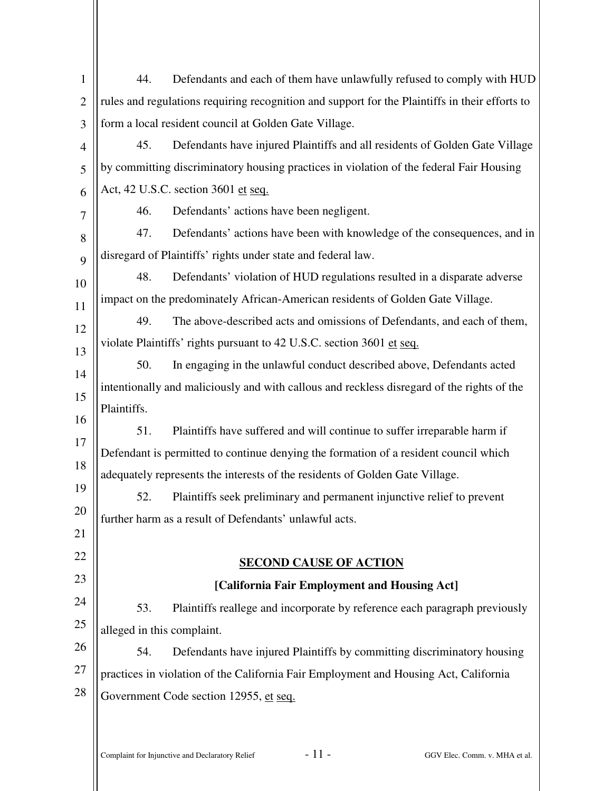| $\mathbf{1}$   | 44.                        | Defendants and each of them have unlawfully refused to comply with HUD                         |
|----------------|----------------------------|------------------------------------------------------------------------------------------------|
| $\overline{2}$ |                            | rules and regulations requiring recognition and support for the Plaintiffs in their efforts to |
| 3              |                            | form a local resident council at Golden Gate Village.                                          |
| $\overline{4}$ | 45.                        | Defendants have injured Plaintiffs and all residents of Golden Gate Village                    |
| 5              |                            | by committing discriminatory housing practices in violation of the federal Fair Housing        |
| 6              |                            | Act, 42 U.S.C. section 3601 et seq.                                                            |
| 7              | 46.                        | Defendants' actions have been negligent.                                                       |
| 8              | 47.                        | Defendants' actions have been with knowledge of the consequences, and in                       |
| 9              |                            | disregard of Plaintiffs' rights under state and federal law.                                   |
| 10             | 48.                        | Defendants' violation of HUD regulations resulted in a disparate adverse                       |
| 11             |                            | impact on the predominately African-American residents of Golden Gate Village.                 |
| 12             | 49.                        | The above-described acts and omissions of Defendants, and each of them,                        |
| 13             |                            | violate Plaintiffs' rights pursuant to 42 U.S.C. section 3601 et seq.                          |
| 14             | 50.                        | In engaging in the unlawful conduct described above, Defendants acted                          |
| 15             |                            | intentionally and maliciously and with callous and reckless disregard of the rights of the     |
| 16             | Plaintiffs.                |                                                                                                |
| 17             | 51.                        | Plaintiffs have suffered and will continue to suffer irreparable harm if                       |
| 18             |                            | Defendant is permitted to continue denying the formation of a resident council which           |
| 19             |                            | adequately represents the interests of the residents of Golden Gate Village.                   |
| 20             | 52.                        | Plaintiffs seek preliminary and permanent injunctive relief to prevent                         |
| 21             |                            | further harm as a result of Defendants' unlawful acts.                                         |
| 22             |                            |                                                                                                |
| 23             |                            | <b>SECOND CAUSE OF ACTION</b>                                                                  |
|                |                            | [California Fair Employment and Housing Act]                                                   |
| 24             | 53.                        | Plaintiffs reallege and incorporate by reference each paragraph previously                     |
| 25             | alleged in this complaint. |                                                                                                |
| 26             | 54.                        | Defendants have injured Plaintiffs by committing discriminatory housing                        |
| 27             |                            | practices in violation of the California Fair Employment and Housing Act, California           |
| 28             |                            | Government Code section 12955, et seq.                                                         |
|                |                            |                                                                                                |
|                |                            |                                                                                                |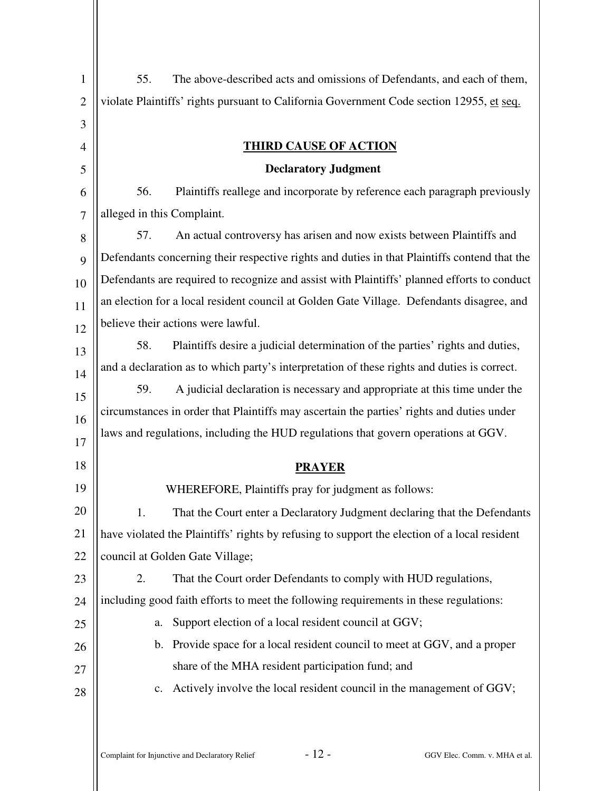| $\mathbf{1}$   | 55.<br>The above-described acts and omissions of Defendants, and each of them,               |
|----------------|----------------------------------------------------------------------------------------------|
| $\mathbf{2}$   | violate Plaintiffs' rights pursuant to California Government Code section 12955, et seq.     |
| 3              |                                                                                              |
| 4              | <b>THIRD CAUSE OF ACTION</b>                                                                 |
| 5              | <b>Declaratory Judgment</b>                                                                  |
| 6              | 56.<br>Plaintiffs reallege and incorporate by reference each paragraph previously            |
| $\overline{7}$ | alleged in this Complaint.                                                                   |
| 8              | An actual controversy has arisen and now exists between Plaintiffs and<br>57.                |
| 9              | Defendants concerning their respective rights and duties in that Plaintiffs contend that the |
| 10             | Defendants are required to recognize and assist with Plaintiffs' planned efforts to conduct  |
| 11             | an election for a local resident council at Golden Gate Village. Defendants disagree, and    |
| 12             | believe their actions were lawful.                                                           |
| 13             | 58.<br>Plaintiffs desire a judicial determination of the parties' rights and duties,         |
| 14             | and a declaration as to which party's interpretation of these rights and duties is correct.  |
| 15             | A judicial declaration is necessary and appropriate at this time under the<br>59.            |
| 16             | circumstances in order that Plaintiffs may ascertain the parties' rights and duties under    |
| 17             | laws and regulations, including the HUD regulations that govern operations at GGV.           |
| 18             | <b>PRAYER</b>                                                                                |
| 19             | WHEREFORE, Plaintiffs pray for judgment as follows:                                          |
| 20             | That the Court enter a Declaratory Judgment declaring that the Defendants<br>1.              |
| 21             | have violated the Plaintiffs' rights by refusing to support the election of a local resident |
| 22             | council at Golden Gate Village;                                                              |
| 23             | 2.<br>That the Court order Defendants to comply with HUD regulations,                        |
| 24             | including good faith efforts to meet the following requirements in these regulations:        |
| 25             | Support election of a local resident council at GGV;<br>a.                                   |
| 26             | Provide space for a local resident council to meet at GGV, and a proper<br>$\mathbf b$ .     |
| 27             | share of the MHA resident participation fund; and                                            |
| 28             | Actively involve the local resident council in the management of GGV;<br>$\mathbf{c}$ .      |
|                |                                                                                              |
|                |                                                                                              |
|                | $-12-$<br>Complaint for Injunctive and Declaratory Relief<br>GGV Elec. Comm. v. MHA et al.   |